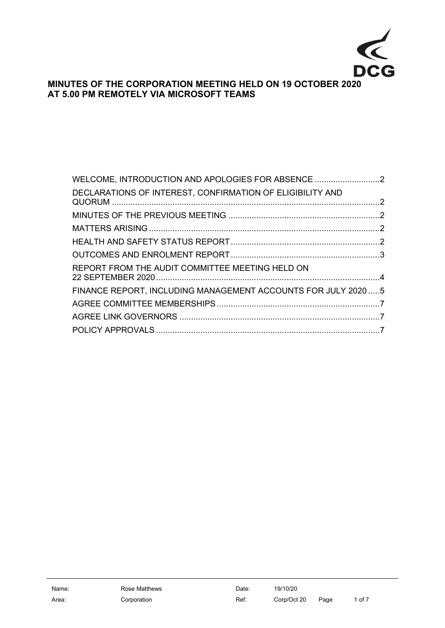

# **MINUTES OF THE CORPORATION MEETING HELD ON 19 OCTOBER 2020 AT 5.00 PM REMOTELY VIA MICROSOFT TEAMS**

| WELCOME, INTRODUCTION AND APOLOGIES FOR ABSENCE                |  |
|----------------------------------------------------------------|--|
| DECLARATIONS OF INTEREST, CONFIRMATION OF ELIGIBILITY AND      |  |
|                                                                |  |
|                                                                |  |
|                                                                |  |
|                                                                |  |
| REPORT FROM THE AUDIT COMMITTEE MEETING HELD ON                |  |
| FINANCE REPORT, INCLUDING MANAGEMENT ACCOUNTS FOR JULY 2020  5 |  |
|                                                                |  |
|                                                                |  |
|                                                                |  |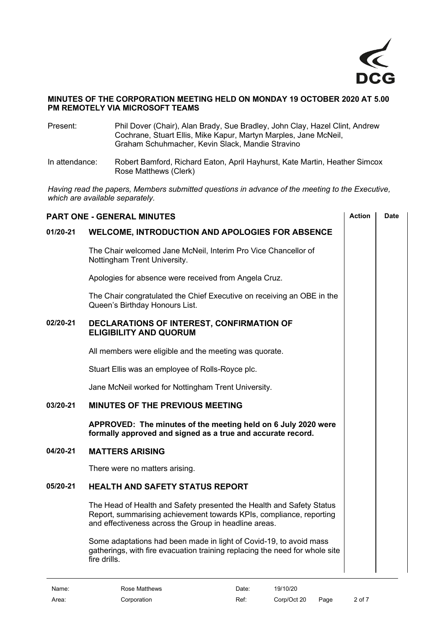

#### **MINUTES OF THE CORPORATION MEETING HELD ON MONDAY 19 OCTOBER 2020 AT 5.00 PM REMOTELY VIA MICROSOFT TEAMS**

Present: Phil Dover (Chair), Alan Brady, Sue Bradley, John Clay, Hazel Clint, Andrew Cochrane, Stuart Ellis, Mike Kapur, Martyn Marples, Jane McNeil, Graham Schuhmacher, Kevin Slack, Mandie Stravino

In attendance: Robert Bamford, Richard Eaton, April Hayhurst, Kate Martin, Heather Simcox Rose Matthews (Clerk)

*Having read the papers, Members submitted questions in advance of the meeting to the Executive, which are available separately.*

<span id="page-1-4"></span><span id="page-1-3"></span><span id="page-1-2"></span><span id="page-1-1"></span><span id="page-1-0"></span>

| <b>PART ONE - GENERAL MINUTES</b> | <b>Action</b>                                                                                                                                                                                        | <b>Date</b> |  |
|-----------------------------------|------------------------------------------------------------------------------------------------------------------------------------------------------------------------------------------------------|-------------|--|
| 01/20-21                          | <b>WELCOME, INTRODUCTION AND APOLOGIES FOR ABSENCE</b>                                                                                                                                               |             |  |
|                                   | The Chair welcomed Jane McNeil, Interim Pro Vice Chancellor of<br>Nottingham Trent University.                                                                                                       |             |  |
|                                   | Apologies for absence were received from Angela Cruz.                                                                                                                                                |             |  |
|                                   | The Chair congratulated the Chief Executive on receiving an OBE in the<br>Queen's Birthday Honours List.                                                                                             |             |  |
| 02/20-21                          | DECLARATIONS OF INTEREST, CONFIRMATION OF<br><b>ELIGIBILITY AND QUORUM</b>                                                                                                                           |             |  |
|                                   | All members were eligible and the meeting was quorate.                                                                                                                                               |             |  |
|                                   | Stuart Ellis was an employee of Rolls-Royce plc.                                                                                                                                                     |             |  |
|                                   | Jane McNeil worked for Nottingham Trent University.                                                                                                                                                  |             |  |
| 03/20-21                          | <b>MINUTES OF THE PREVIOUS MEETING</b>                                                                                                                                                               |             |  |
|                                   | APPROVED: The minutes of the meeting held on 6 July 2020 were<br>formally approved and signed as a true and accurate record.                                                                         |             |  |
| 04/20-21                          | <b>MATTERS ARISING</b>                                                                                                                                                                               |             |  |
|                                   | There were no matters arising.                                                                                                                                                                       |             |  |
| 05/20-21                          | <b>HEALTH AND SAFETY STATUS REPORT</b>                                                                                                                                                               |             |  |
|                                   | The Head of Health and Safety presented the Health and Safety Status<br>Report, summarising achievement towards KPIs, compliance, reporting<br>and effectiveness across the Group in headline areas. |             |  |
|                                   | Some adaptations had been made in light of Covid-19, to avoid mass<br>gatherings, with fire evacuation training replacing the need for whole site<br>fire drills.                                    |             |  |
|                                   |                                                                                                                                                                                                      |             |  |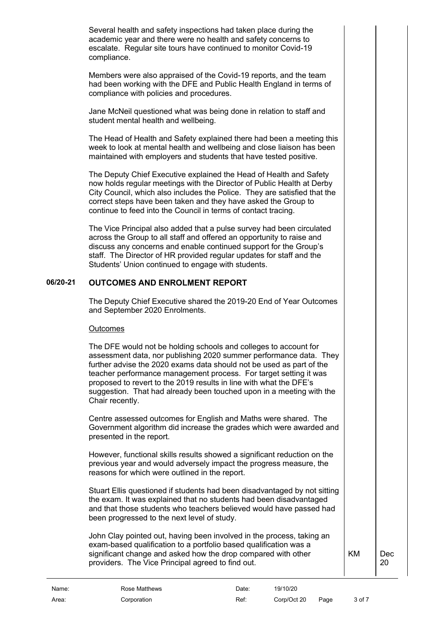Several health and safety inspections had taken place during the academic year and there were no health and safety concerns to escalate. Regular site tours have continued to monitor Covid-19 compliance.

Members were also appraised of the Covid-19 reports, and the team had been working with the DFE and Public Health England in terms of compliance with policies and procedures.

Jane McNeil questioned what was being done in relation to staff and student mental health and wellbeing.

The Head of Health and Safety explained there had been a meeting this week to look at mental health and wellbeing and close liaison has been maintained with employers and students that have tested positive.

The Deputy Chief Executive explained the Head of Health and Safety now holds regular meetings with the Director of Public Health at Derby City Council, which also includes the Police. They are satisfied that the correct steps have been taken and they have asked the Group to continue to feed into the Council in terms of contact tracing.

The Vice Principal also added that a pulse survey had been circulated across the Group to all staff and offered an opportunity to raise and discuss any concerns and enable continued support for the Group's staff. The Director of HR provided regular updates for staff and the Students' Union continued to engage with students.

## **06/20-21 OUTCOMES AND ENROLMENT REPORT**

<span id="page-2-0"></span>The Deputy Chief Executive shared the 2019-20 End of Year Outcomes and September 2020 Enrolments.

#### **Outcomes**

The DFE would not be holding schools and colleges to account for assessment data, nor publishing 2020 summer performance data. They further advise the 2020 exams data should not be used as part of the teacher performance management process. For target setting it was proposed to revert to the 2019 results in line with what the DFE's suggestion. That had already been touched upon in a meeting with the Chair recently.

Centre assessed outcomes for English and Maths were shared. The Government algorithm did increase the grades which were awarded and presented in the report.

However, functional skills results showed a significant reduction on the previous year and would adversely impact the progress measure, the reasons for which were outlined in the report.

Stuart Ellis questioned if students had been disadvantaged by not sitting the exam. It was explained that no students had been disadvantaged and that those students who teachers believed would have passed had been progressed to the next level of study.

John Clay pointed out, having been involved in the process, taking an exam-based qualification to a portfolio based qualification was a significant change and asked how the drop compared with other providers. The Vice Principal agreed to find out.

KM Dec

20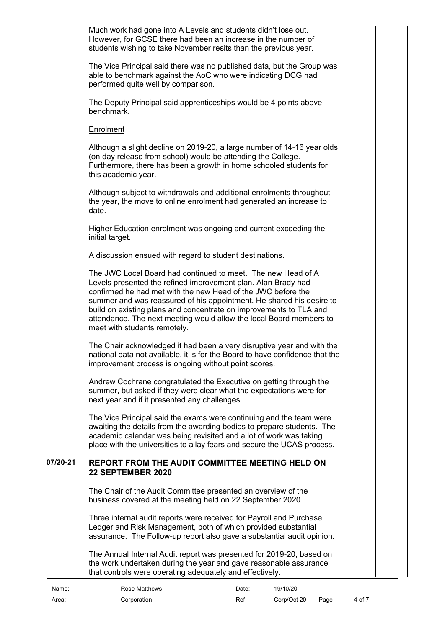Much work had gone into A Levels and students didn't lose out. However, for GCSE there had been an increase in the number of students wishing to take November resits than the previous year.

The Vice Principal said there was no published data, but the Group was able to benchmark against the AoC who were indicating DCG had performed quite well by comparison.

The Deputy Principal said apprenticeships would be 4 points above benchmark.

#### Enrolment

Although a slight decline on 2019-20, a large number of 14-16 year olds (on day release from school) would be attending the College. Furthermore, there has been a growth in home schooled students for this academic year.

Although subject to withdrawals and additional enrolments throughout the year, the move to online enrolment had generated an increase to date.

Higher Education enrolment was ongoing and current exceeding the initial target.

A discussion ensued with regard to student destinations.

The JWC Local Board had continued to meet. The new Head of A Levels presented the refined improvement plan. Alan Brady had confirmed he had met with the new Head of the JWC before the summer and was reassured of his appointment. He shared his desire to build on existing plans and concentrate on improvements to TLA and attendance. The next meeting would allow the local Board members to meet with students remotely.

The Chair acknowledged it had been a very disruptive year and with the national data not available, it is for the Board to have confidence that the improvement process is ongoing without point scores.

Andrew Cochrane congratulated the Executive on getting through the summer, but asked if they were clear what the expectations were for next year and if it presented any challenges.

The Vice Principal said the exams were continuing and the team were awaiting the details from the awarding bodies to prepare students. The academic calendar was being revisited and a lot of work was taking place with the universities to allay fears and secure the UCAS process.

#### **07/20-21 REPORT FROM THE AUDIT COMMITTEE MEETING HELD ON 22 SEPTEMBER 2020**

<span id="page-3-0"></span>The Chair of the Audit Committee presented an overview of the business covered at the meeting held on 22 September 2020.

Three internal audit reports were received for Payroll and Purchase Ledger and Risk Management, both of which provided substantial assurance. The Follow-up report also gave a substantial audit opinion.

The Annual Internal Audit report was presented for 2019-20, based on the work undertaken during the year and gave reasonable assurance that controls were operating adequately and effectively.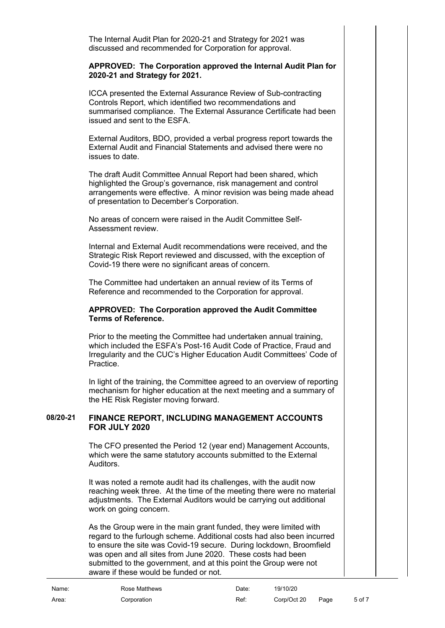The Internal Audit Plan for 2020-21 and Strategy for 2021 was discussed and recommended for Corporation for approval.

#### **APPROVED: The Corporation approved the Internal Audit Plan for 2020-21 and Strategy for 2021.**

ICCA presented the External Assurance Review of Sub-contracting Controls Report, which identified two recommendations and summarised compliance. The External Assurance Certificate had been issued and sent to the ESFA.

External Auditors, BDO, provided a verbal progress report towards the External Audit and Financial Statements and advised there were no issues to date.

The draft Audit Committee Annual Report had been shared, which highlighted the Group's governance, risk management and control arrangements were effective. A minor revision was being made ahead of presentation to December's Corporation.

No areas of concern were raised in the Audit Committee Self-Assessment review.

Internal and External Audit recommendations were received, and the Strategic Risk Report reviewed and discussed, with the exception of Covid-19 there were no significant areas of concern.

The Committee had undertaken an annual review of its Terms of Reference and recommended to the Corporation for approval.

#### **APPROVED: The Corporation approved the Audit Committee Terms of Reference.**

Prior to the meeting the Committee had undertaken annual training, which included the ESFA's Post-16 Audit Code of Practice, Fraud and Irregularity and the CUC's Higher Education Audit Committees' Code of Practice.

In light of the training, the Committee agreed to an overview of reporting mechanism for higher education at the next meeting and a summary of the HE Risk Register moving forward.

#### **08/20-21 FINANCE REPORT, INCLUDING MANAGEMENT ACCOUNTS FOR JULY 2020**

<span id="page-4-0"></span>The CFO presented the Period 12 (year end) Management Accounts, which were the same statutory accounts submitted to the External Auditors.

It was noted a remote audit had its challenges, with the audit now reaching week three. At the time of the meeting there were no material adjustments. The External Auditors would be carrying out additional work on going concern.

As the Group were in the main grant funded, they were limited with regard to the furlough scheme. Additional costs had also been incurred to ensure the site was Covid-19 secure. During lockdown, Broomfield was open and all sites from June 2020. These costs had been submitted to the government, and at this point the Group were not aware if these would be funded or not.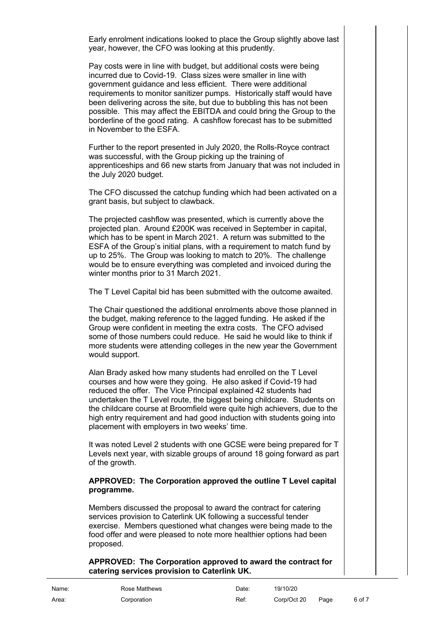Early enrolment indications looked to place the Group slightly above last year, however, the CFO was looking at this prudently.

Pay costs were in line with budget, but additional costs were being incurred due to Covid-19. Class sizes were smaller in line with government guidance and less efficient. There were additional requirements to monitor sanitizer pumps. Historically staff would have been delivering across the site, but due to bubbling this has not been possible. This may affect the EBITDA and could bring the Group to the borderline of the good rating. A cashflow forecast has to be submitted in November to the ESFA.

Further to the report presented in July 2020, the Rolls-Royce contract was successful, with the Group picking up the training of apprenticeships and 66 new starts from January that was not included in the July 2020 budget.

The CFO discussed the catchup funding which had been activated on a grant basis, but subject to clawback.

The projected cashflow was presented, which is currently above the projected plan. Around £200K was received in September in capital, which has to be spent in March 2021. A return was submitted to the ESFA of the Group's initial plans, with a requirement to match fund by up to 25%. The Group was looking to match to 20%. The challenge would be to ensure everything was completed and invoiced during the winter months prior to 31 March 2021.

The T Level Capital bid has been submitted with the outcome awaited.

The Chair questioned the additional enrolments above those planned in the budget, making reference to the lagged funding. He asked if the Group were confident in meeting the extra costs. The CFO advised some of those numbers could reduce. He said he would like to think if more students were attending colleges in the new year the Government would support.

Alan Brady asked how many students had enrolled on the T Level courses and how were they going. He also asked if Covid-19 had reduced the offer. The Vice Principal explained 42 students had undertaken the T Level route, the biggest being childcare. Students on the childcare course at Broomfield were quite high achievers, due to the high entry requirement and had good induction with students going into placement with employers in two weeks' time.

It was noted Level 2 students with one GCSE were being prepared for T Levels next year, with sizable groups of around 18 going forward as part of the growth.

#### **APPROVED: The Corporation approved the outline T Level capital programme.**

Members discussed the proposal to award the contract for catering services provision to Caterlink UK following a successful tender exercise. Members questioned what changes were being made to the food offer and were pleased to note more healthier options had been proposed.

#### **APPROVED: The Corporation approved to award the contract for catering services provision to Caterlink UK.**

| Name: | Rose Matthews | Date: | 19/10/20         |        |
|-------|---------------|-------|------------------|--------|
| Area: | Corporation   | Ref:  | Corp/Oct 20 Page | 6 of 7 |